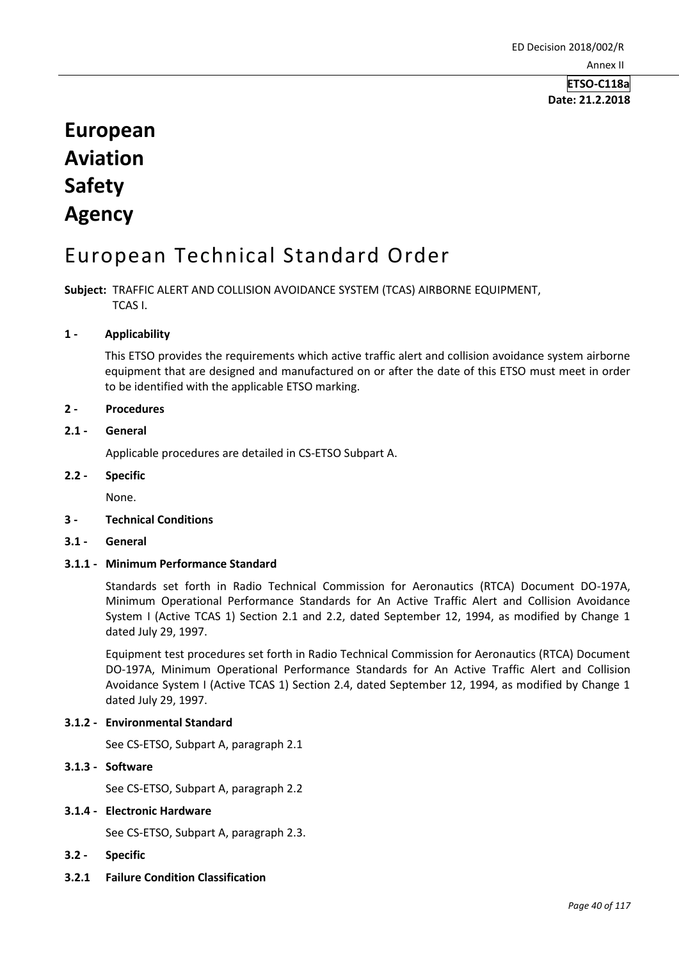## **ETSO-C118a Date: 21.2.2018**

# **European Aviation Safety Agency**

# European Technical Standard Order

**Subject:** TRAFFIC ALERT AND COLLISION AVOIDANCE SYSTEM (TCAS) AIRBORNE EQUIPMENT, TCAS I.

### **1 - Applicability**

This ETSO provides the requirements which active traffic alert and collision avoidance system airborne equipment that are designed and manufactured on or after the date of this ETSO must meet in order to be identified with the applicable ETSO marking.

#### **2 - Procedures**

### **2.1 - General**

Applicable procedures are detailed in CS-ETSO Subpart A.

#### **2.2 - Specific**

None.

# **3 - Technical Conditions**

**3.1 - General** 

# **3.1.1 - Minimum Performance Standard**

Standards set forth in Radio Technical Commission for Aeronautics (RTCA) Document DO-197A, Minimum Operational Performance Standards for An Active Traffic Alert and Collision Avoidance System I (Active TCAS 1) Section 2.1 and 2.2, dated September 12, 1994, as modified by Change 1 dated July 29, 1997.

Equipment test procedures set forth in Radio Technical Commission for Aeronautics (RTCA) Document DO-197A, Minimum Operational Performance Standards for An Active Traffic Alert and Collision Avoidance System I (Active TCAS 1) Section 2.4, dated September 12, 1994, as modified by Change 1 dated July 29, 1997.

#### **3.1.2 - Environmental Standard**

See CS-ETSO, Subpart A, paragraph 2.1

## **3.1.3 - Software**

See CS-ETSO, Subpart A, paragraph 2.2

#### **3.1.4 - Electronic Hardware**

See CS-ETSO, Subpart A, paragraph 2.3.

- **3.2 - Specific**
- **3.2.1 Failure Condition Classification**